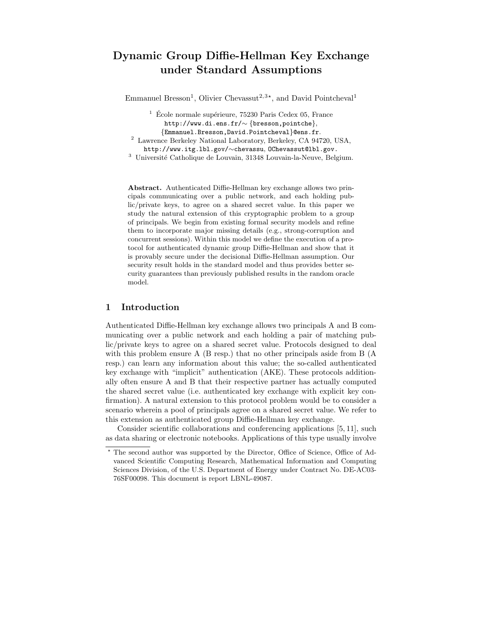# Dynamic Group Diffie-Hellman Key Exchange under Standard Assumptions

Emmanuel Bresson<sup>1</sup>, Olivier Chevassut<sup>2,3\*</sup>, and David Pointcheval<sup>1</sup>

 $1\text{ }$  École normale supérieure, 75230 Paris Cedex 05, France http://www.di.ens.fr/∼ {bresson,pointche}, {Emmanuel.Bresson,David.Pointcheval}@ens.fr.

<sup>2</sup> Lawrence Berkeley National Laboratory, Berkeley, CA 94720, USA,

http://www.itg.lbl.gov/∼chevassu, OChevassut@lbl.gov.

 $^3$ Université Catholique de Louvain, 31348 Louvain-la-Neuve, Belgium.

Abstract. Authenticated Diffie-Hellman key exchange allows two principals communicating over a public network, and each holding public/private keys, to agree on a shared secret value. In this paper we study the natural extension of this cryptographic problem to a group of principals. We begin from existing formal security models and refine them to incorporate major missing details (e.g., strong-corruption and concurrent sessions). Within this model we define the execution of a protocol for authenticated dynamic group Diffie-Hellman and show that it is provably secure under the decisional Diffie-Hellman assumption. Our security result holds in the standard model and thus provides better security guarantees than previously published results in the random oracle model.

# 1 Introduction

Authenticated Diffie-Hellman key exchange allows two principals A and B communicating over a public network and each holding a pair of matching public/private keys to agree on a shared secret value. Protocols designed to deal with this problem ensure A (B resp.) that no other principals aside from B (A resp.) can learn any information about this value; the so-called authenticated key exchange with "implicit" authentication (AKE). These protocols additionally often ensure A and B that their respective partner has actually computed the shared secret value (i.e. authenticated key exchange with explicit key confirmation). A natural extension to this protocol problem would be to consider a scenario wherein a pool of principals agree on a shared secret value. We refer to this extension as authenticated group Diffie-Hellman key exchange.

Consider scientific collaborations and conferencing applications [5, 11], such as data sharing or electronic notebooks. Applications of this type usually involve

<sup>?</sup> The second author was supported by the Director, Office of Science, Office of Advanced Scientific Computing Research, Mathematical Information and Computing Sciences Division, of the U.S. Department of Energy under Contract No. DE-AC03- 76SF00098. This document is report LBNL-49087.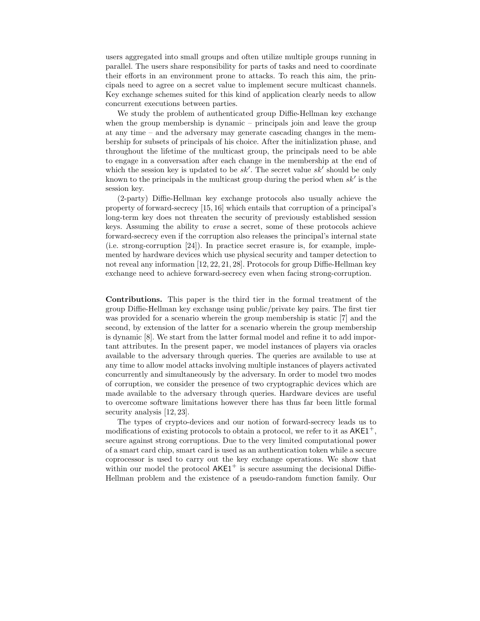users aggregated into small groups and often utilize multiple groups running in parallel. The users share responsibility for parts of tasks and need to coordinate their efforts in an environment prone to attacks. To reach this aim, the principals need to agree on a secret value to implement secure multicast channels. Key exchange schemes suited for this kind of application clearly needs to allow concurrent executions between parties.

We study the problem of authenticated group Diffie-Hellman key exchange when the group membership is dynamic – principals join and leave the group at any time – and the adversary may generate cascading changes in the membership for subsets of principals of his choice. After the initialization phase, and throughout the lifetime of the multicast group, the principals need to be able to engage in a conversation after each change in the membership at the end of which the session key is updated to be  $sk'$ . The secret value  $sk'$  should be only known to the principals in the multicast group during the period when  $sk'$  is the session key.

(2-party) Diffie-Hellman key exchange protocols also usually achieve the property of forward-secrecy [15, 16] which entails that corruption of a principal's long-term key does not threaten the security of previously established session keys. Assuming the ability to erase a secret, some of these protocols achieve forward-secrecy even if the corruption also releases the principal's internal state (i.e. strong-corruption [24]). In practice secret erasure is, for example, implemented by hardware devices which use physical security and tamper detection to not reveal any information [12, 22, 21, 28]. Protocols for group Diffie-Hellman key exchange need to achieve forward-secrecy even when facing strong-corruption.

Contributions. This paper is the third tier in the formal treatment of the group Diffie-Hellman key exchange using public/private key pairs. The first tier was provided for a scenario wherein the group membership is static [7] and the second, by extension of the latter for a scenario wherein the group membership is dynamic [8]. We start from the latter formal model and refine it to add important attributes. In the present paper, we model instances of players via oracles available to the adversary through queries. The queries are available to use at any time to allow model attacks involving multiple instances of players activated concurrently and simultaneously by the adversary. In order to model two modes of corruption, we consider the presence of two cryptographic devices which are made available to the adversary through queries. Hardware devices are useful to overcome software limitations however there has thus far been little formal security analysis [12, 23].

The types of crypto-devices and our notion of forward-secrecy leads us to modifications of existing protocols to obtain a protocol, we refer to it as  $AKE1^+$ , secure against strong corruptions. Due to the very limited computational power of a smart card chip, smart card is used as an authentication token while a secure coprocessor is used to carry out the key exchange operations. We show that within our model the protocol  $AKE1<sup>+</sup>$  is secure assuming the decisional Diffie-Hellman problem and the existence of a pseudo-random function family. Our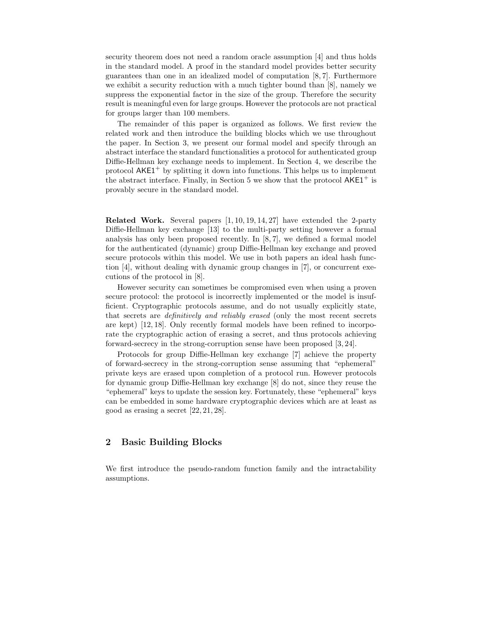security theorem does not need a random oracle assumption [4] and thus holds in the standard model. A proof in the standard model provides better security guarantees than one in an idealized model of computation [8, 7]. Furthermore we exhibit a security reduction with a much tighter bound than [8], namely we suppress the exponential factor in the size of the group. Therefore the security result is meaningful even for large groups. However the protocols are not practical for groups larger than 100 members.

The remainder of this paper is organized as follows. We first review the related work and then introduce the building blocks which we use throughout the paper. In Section 3, we present our formal model and specify through an abstract interface the standard functionalities a protocol for authenticated group Diffie-Hellman key exchange needs to implement. In Section 4, we describe the protocol  $AKE1<sup>+</sup>$  by splitting it down into functions. This helps us to implement the abstract interface. Finally, in Section 5 we show that the protocol  $AKE1^+$  is provably secure in the standard model.

**Related Work.** Several papers  $\begin{bmatrix} 1, 10, 19, 14, 27 \end{bmatrix}$  have extended the 2-party Diffie-Hellman key exchange [13] to the multi-party setting however a formal analysis has only been proposed recently. In [8, 7], we defined a formal model for the authenticated (dynamic) group Diffie-Hellman key exchange and proved secure protocols within this model. We use in both papers an ideal hash function [4], without dealing with dynamic group changes in [7], or concurrent executions of the protocol in [8].

However security can sometimes be compromised even when using a proven secure protocol: the protocol is incorrectly implemented or the model is insufficient. Cryptographic protocols assume, and do not usually explicitly state, that secrets are definitively and reliably erased (only the most recent secrets are kept) [12, 18]. Only recently formal models have been refined to incorporate the cryptographic action of erasing a secret, and thus protocols achieving forward-secrecy in the strong-corruption sense have been proposed [3, 24].

Protocols for group Diffie-Hellman key exchange [7] achieve the property of forward-secrecy in the strong-corruption sense assuming that "ephemeral" private keys are erased upon completion of a protocol run. However protocols for dynamic group Diffie-Hellman key exchange [8] do not, since they reuse the "ephemeral" keys to update the session key. Fortunately, these "ephemeral" keys can be embedded in some hardware cryptographic devices which are at least as good as erasing a secret [22, 21, 28].

# 2 Basic Building Blocks

We first introduce the pseudo-random function family and the intractability assumptions.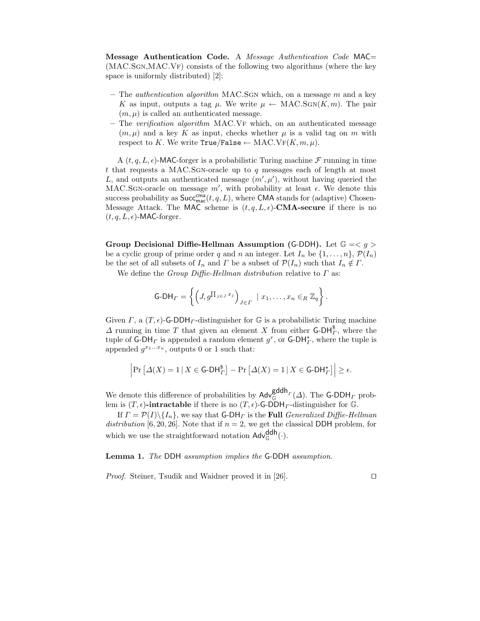Message Authentication Code. A Message Authentication Code MAC=  $(MAC.SGN,MAC.VF)$  consists of the following two algorithms (where the key space is uniformly distributed) [2]:

- The *authentication algorithm* MAC.SGN which, on a message  $m$  and a key K as input, outputs a tag  $\mu$ . We write  $\mu \leftarrow \text{MAC.SGN}(K, m)$ . The pair  $(m, \mu)$  is called an authenticated message.
- The *verification algorithm* MAC. VF which, on an authenticated message  $(m, \mu)$  and a key K as input, checks whether  $\mu$  is a valid tag on m with respect to K. We write  $True/False \leftarrow MAC.VF(K, m, \mu)$ .

A  $(t, q, L, \epsilon)$ -MAC-forger is a probabilistic Turing machine F running in time t that requests a MAC.SGN-oracle up to q messages each of length at most L, and outputs an authenticated message  $(m', \mu')$ , without having queried the MAC.SGN-oracle on message  $m'$ , with probability at least  $\epsilon$ . We denote this success probability as  $\textsf{Succ}_{\textsf{mac}}^{\textsf{cm}\textsf{a}}(t, q, L)$ , where CMA stands for (adaptive) Chosen-Message Attack. The MAC scheme is  $(t, q, L, \epsilon)$ -CMA-secure if there is no  $(t, q, L, \epsilon)$ -MAC-forger.

Group Decisional Diffie-Hellman Assumption (G-DDH). Let  $\mathbb{G} = \langle g \rangle$ be a cyclic group of prime order q and n an integer. Let  $I_n$  be  $\{1, \ldots, n\}, \mathcal{P}(I_n)$ be the set of all subsets of  $I_n$  and  $\Gamma$  be a subset of  $\mathcal{P}(I_n)$  such that  $I_n \notin \Gamma$ .

We define the *Group Diffie-Hellman distribution* relative to  $\Gamma$  as:

$$
\mathsf{G}\text{-}\mathsf{DH}_\Gamma=\left\{\left(J,g^{\prod_{j\in J}x_j}\right)_{J\in\Gamma}\mid x_1,\ldots,x_n\in_R\mathbb{Z}_q\right\}.
$$

Given  $\Gamma$ , a  $(T, \epsilon)$ -G-DDH<sub> $\Gamma$ </sub>-distinguisher for  $\mathbb{G}$  is a probabilistic Turing machine  $\Delta$  running in time T that given an element X from either G-DH<sup>§</sup><sub>T</sub>, where the tuple of  $\mathsf{G}\text{-}\mathsf{DH}\Gamma$  is appended a random element  $g^r$ , or  $\mathsf{G}\text{-}\mathsf{DH}\gamma^*$ , where the tuple is appended  $g^{x_1...x_n}$ , outputs 0 or 1 such that:

$$
\left|\Pr\left[\Delta(X) = 1 \,|\, X \in \mathsf{G}\text{-}\mathsf{DH}_\Gamma^\$ \right] - \Pr\left[\Delta(X) = 1 \,|\, X \in \mathsf{G}\text{-}\mathsf{DH}_\Gamma^\star \right] \right| \geq \epsilon.
$$

We denote this difference of probabilities by  $\mathsf{Adv}_{\mathbb{G}}^{\mathsf{gddh}_r}(\Delta)$ . The G-DDH<sub>*Γ*</sub> problem is  $(T, \epsilon)$ -intractable if there is no  $(T, \epsilon)$ -G-DDH<sub>*T*</sub>-distinguisher for G.

If  $\Gamma = \mathcal{P}(I) \setminus \{I_n\}$ , we say that G-DH<sub>Γ</sub> is the Full *Generalized Diffie-Hellman* distribution [6, 20, 26]. Note that if  $n = 2$ , we get the classical DDH problem, for which we use the straightforward notation  $\mathsf{Adv}^{\mathsf{ddh}}_{\mathbb{G}}(\cdot)$ .

Lemma 1. The DDH assumption implies the G-DDH assumption.

*Proof.* Steiner, Tsudik and Waidner proved it in [26].  $\Box$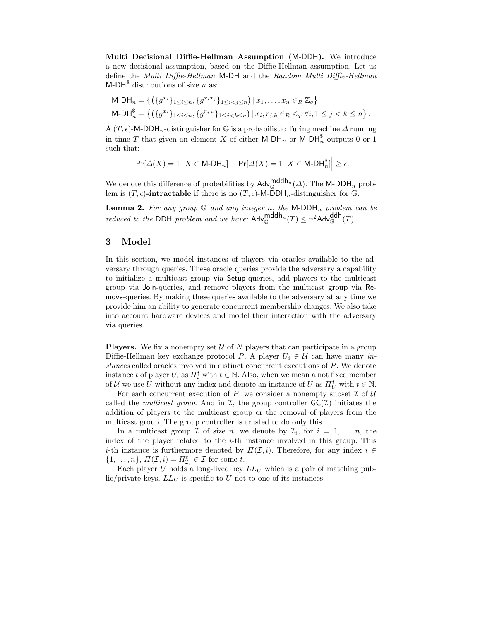Multi Decisional Diffie-Hellman Assumption (M-DDH). We introduce a new decisional assumption, based on the Diffie-Hellman assumption. Let us define the Multi Diffie-Hellman M-DH and the Random Multi Diffie-Hellman M-DH<sup>\$</sup> distributions of size *n* as:

$$
\mathsf{M}\text{-}\mathsf{DH}_n = \left\{ \left( \{g^{x_i}\}_{1 \le i \le n}, \{g^{x_i x_j}\}_{1 \le i < j \le n} \right) \mid x_1, \dots, x_n \in_R \mathbb{Z}_q \right\}
$$
\n
$$
\mathsf{M}\text{-}\mathsf{DH}_n^\$ = \left\{ \left( \{g^{x_i}\}_{1 \le i \le n}, \{g^{r_{j,k}}\}_{1 \le j < k \le n} \right) \mid x_i, r_{j,k} \in_R \mathbb{Z}_q, \forall i, 1 \le j < k \le n \right\}.
$$

A  $(T, \epsilon)$ -M-DDH<sub>n</sub>-distinguisher for G is a probabilistic Turing machine  $\Delta$  running in time T that given an element X of either  $M$ -DH<sub>n</sub> or  $M$ -DH<sub>n</sub><sup>\$</sup></sup> outputs 0 or 1 such that:

$$
\left|\Pr[\Delta(X) = 1 \,|\, X \in \mathsf{M}\text{-}\mathsf{DH}_n] - \Pr[\Delta(X) = 1 \,|\, X \in \mathsf{M}\text{-}\mathsf{DH}_n^{\$}\right|\geq \epsilon.
$$

We denote this difference of probabilities by  $\mathsf{Adv}_{\mathbb{G}}^{\mathsf{mddh}_n}(\Delta)$ . The M-DDH<sub>n</sub> problem is  $(T, \epsilon)$ -intractable if there is no  $(T, \epsilon)$ -M-DDH<sub>n</sub>-distinguisher for G.

**Lemma 2.** For any group  $\mathbb{G}$  and any integer n, the M-DDH<sub>n</sub> problem can be reduced to the DDH problem and we have:  $\mathsf{Adv}_{\mathbb{G}}^{\mathsf{mddh}_n}(T) \leq n^2 \mathsf{Adv}_{\mathbb{G}}^{\mathsf{ddh}}(T)$ .

### 3 Model

In this section, we model instances of players via oracles available to the adversary through queries. These oracle queries provide the adversary a capability to initialize a multicast group via Setup-queries, add players to the multicast group via Join-queries, and remove players from the multicast group via Remove-queries. By making these queries available to the adversary at any time we provide him an ability to generate concurrent membership changes. We also take into account hardware devices and model their interaction with the adversary via queries.

**Players.** We fix a nonempty set  $\mathcal U$  of N players that can participate in a group Diffie-Hellman key exchange protocol P. A player  $U_i \in \mathcal{U}$  can have many instances called oracles involved in distinct concurrent executions of P. We denote instance t of player  $U_i$  as  $\Pi_i^t$  with  $t \in \mathbb{N}$ . Also, when we mean a not fixed member of U we use U without any index and denote an instance of U as  $\Pi_U^t$  with  $t \in \mathbb{N}$ .

For each concurrent execution of  $P$ , we consider a nonempty subset  $\mathcal I$  of  $\mathcal U$ called the *multicast group*. And in  $\mathcal{I}$ , the group controller  $\mathsf{GC}(\mathcal{I})$  initiates the addition of players to the multicast group or the removal of players from the multicast group. The group controller is trusted to do only this.

In a multicast group  $\mathcal I$  of size  $n$ , we denote by  $\mathcal I_i$ , for  $i = 1, \ldots, n$ , the index of the player related to the  $i$ -th instance involved in this group. This *i*-th instance is furthermore denoted by  $\Pi(\mathcal{I},i)$ . Therefore, for any index  $i \in$  $\{1,\ldots,n\},\,\Pi(\mathcal{I},i)=\Pi^t_{\mathcal{I}_i}\in\mathcal{I}$  for some t.

Each player U holds a long-lived key  $LL_U$  which is a pair of matching public/private keys.  $LL_U$  is specific to U not to one of its instances.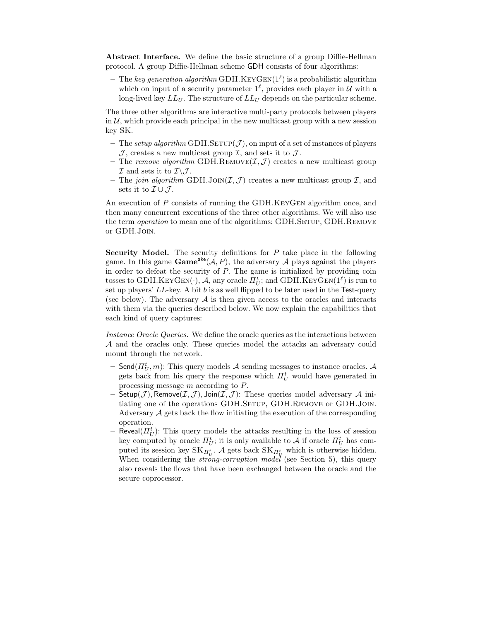Abstract Interface. We define the basic structure of a group Diffie-Hellman protocol. A group Diffie-Hellman scheme GDH consists of four algorithms:

- The key generation algorithm GDH. KEYGEN( $1^{\ell}$ ) is a probabilistic algorithm which on input of a security parameter  $1^{\ell}$ , provides each player in U with a long-lived key  $LL_U$ . The structure of  $LL_U$  depends on the particular scheme.

The three other algorithms are interactive multi-party protocols between players in  $U$ , which provide each principal in the new multicast group with a new session key SK.

- The setup algorithm GDH.SETUP( $J$ ), on input of a set of instances of players  $J$ , creates a new multicast group  $I$ , and sets it to  $J$ .
- The remove algorithm GDH.REMOVE( $I, J$ ) creates a new multicast group  $\mathcal I$  and sets it to  $\mathcal I\setminus\mathcal J$ .
- The join algorithm GDH.JOIN( $I, J$ ) creates a new multicast group  $I$ , and sets it to  $\mathcal{I} \cup \mathcal{J}$ .

An execution of P consists of running the GDH.KeyGen algorithm once, and then many concurrent executions of the three other algorithms. We will also use the term *operation* to mean one of the algorithms: GDH.SETUP, GDH.REMOVE or GDH.Join.

**Security Model.** The security definitions for  $P$  take place in the following game. In this game  $\mathbf{Game}^{\mathsf{ake}}(\mathcal{A}, P)$ , the adversary  $\mathcal A$  plays against the players in order to defeat the security of  $P$ . The game is initialized by providing coin tosses to GDH.KEYGEN $(\cdot)$ , A, any oracle  $\Pi_U^t$ ; and GDH.KEYGEN $(1^{\ell})$  is run to set up players'  $LL$ -key. A bit b is as well flipped to be later used in the Test-query (see below). The adversary  $A$  is then given access to the oracles and interacts with them via the queries described below. We now explain the capabilities that each kind of query captures:

Instance Oracle Queries. We define the oracle queries as the interactions between A and the oracles only. These queries model the attacks an adversary could mount through the network.

- $-$  Send $(\Pi_U^t, m)$ : This query models  $\mathcal A$  sending messages to instance oracles.  $\mathcal A$ gets back from his query the response which  $\Pi_U^t$  would have generated in processing message m according to P.
- Setup $(\mathcal{J})$ , Remove $(\mathcal{I},\mathcal{J})$ , Join $(\mathcal{I},\mathcal{J})$ : These queries model adversary A initiating one of the operations GDH.SETUP, GDH.REMOVE or GDH.JOIN. Adversary  $A$  gets back the flow initiating the execution of the corresponding operation.
- Reveal $(\varPi^t_U)$ : This query models the attacks resulting in the loss of session key computed by oracle  $\Pi_U^t$ ; it is only available to  ${\mathcal A}$  if oracle  $\Pi_U^t$  has computed its session key  $\text{SK}_{\Pi_U^t}$ . A gets back  $\text{SK}_{\Pi_U^t}$  which is otherwise hidden. When considering the *strong-corruption model* (see Section 5), this query also reveals the flows that have been exchanged between the oracle and the secure coprocessor.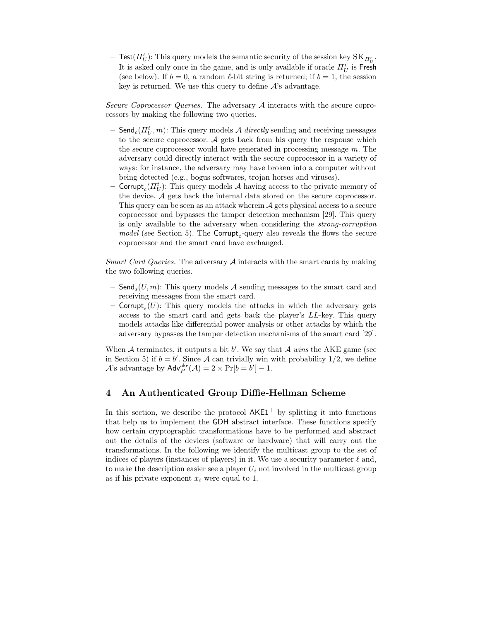- Test( $\Pi_U^t$ ): This query models the semantic security of the session key  $\mathrm{SK}_{\Pi_U^t}$ . It is asked only once in the game, and is only available if oracle  $\Pi^t_U$  is Fresh (see below). If  $b = 0$ , a random  $\ell$ -bit string is returned; if  $b = 1$ , the session key is returned. We use this query to define  $A$ 's advantage.

Secure Coprocessor Queries. The adversary  $A$  interacts with the secure coprocessors by making the following two queries.

- $-$  Send<sub>c</sub>( $\pi_U^t$ , m): This query models A *directly* sending and receiving messages to the secure coprocessor.  $A$  gets back from his query the response which the secure coprocessor would have generated in processing message m. The adversary could directly interact with the secure coprocessor in a variety of ways: for instance, the adversary may have broken into a computer without being detected (e.g., bogus softwares, trojan horses and viruses).
- $-$  Corrupt<sub>c</sub> $(\Pi_U^t)$ : This query models A having access to the private memory of the device. A gets back the internal data stored on the secure coprocessor. This query can be seen as an attack wherein  $A$  gets physical access to a secure coprocessor and bypasses the tamper detection mechanism [29]. This query is only available to the adversary when considering the strong-corruption model (see Section 5). The Corrupt<sub>c</sub>-query also reveals the flows the secure coprocessor and the smart card have exchanged.

Smart Card Queries. The adversary A interacts with the smart cards by making the two following queries.

- Send<sub>s</sub> $(U, m)$ : This query models A sending messages to the smart card and receiving messages from the smart card.
- $-$  Corrupt<sub>s</sub> $(U)$ : This query models the attacks in which the adversary gets access to the smart card and gets back the player's LL-key. This query models attacks like differential power analysis or other attacks by which the adversary bypasses the tamper detection mechanisms of the smart card [29].

When  $A$  terminates, it outputs a bit  $b'$ . We say that  $A$  wins the AKE game (see in Section 5) if  $b = b'$ . Since A can trivially win with probability 1/2, we define *A*'s advantage by  $\mathsf{Adv}_{P}^{\mathsf{ake}}(\mathcal{A}) = 2 \times \Pr[b = b'] - 1.$ 

# 4 An Authenticated Group Diffie-Hellman Scheme

In this section, we describe the protocol  $AKE1<sup>+</sup>$  by splitting it into functions that help us to implement the GDH abstract interface. These functions specify how certain cryptographic transformations have to be performed and abstract out the details of the devices (software or hardware) that will carry out the transformations. In the following we identify the multicast group to the set of indices of players (instances of players) in it. We use a security parameter  $\ell$  and, to make the description easier see a player  $U_i$  not involved in the multicast group as if his private exponent  $x_i$  were equal to 1.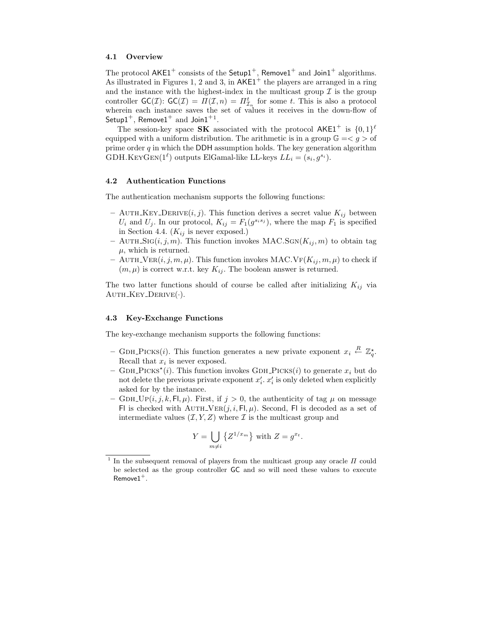#### 4.1 Overview

The protocol  $AKE1^+$  consists of the Setup1<sup>+</sup>, Remove1<sup>+</sup> and Join1<sup>+</sup> algorithms. As illustrated in Figures 1, 2 and 3, in  $AKE1<sup>+</sup>$  the players are arranged in a ring and the instance with the highest-index in the multicast group  $\mathcal I$  is the group controller  $GC(\mathcal{I})$ :  $GC(\mathcal{I}) = \Pi(\mathcal{I}, n) = \Pi^t_{\mathcal{I}_n}$  for some t. This is also a protocol wherein each instance saves the set of values it receives in the down-flow of Setup $1^+$ , Remove $1^+$  and Join $1^{+1}.$ 

The session-key space SK associated with the protocol  $AKE1^+$  is  $\{0,1\}^{\ell}$ equipped with a uniform distribution. The arithmetic is in a group  $\mathbb{G} = \langle g \rangle$  of prime order  $q$  in which the DDH assumption holds. The key generation algorithm GDH.KEYGEN(1<sup> $\ell$ </sup>) outputs ElGamal-like LL-keys  $LL_i = (s_i, g^{s_i}).$ 

### 4.2 Authentication Functions

The authentication mechanism supports the following functions:

- AUTH\_KEY\_DERIVE $(i, j)$ . This function derives a secret value  $K_{ij}$  between  $U_i$  and  $U_j$ . In our protocol,  $K_{ij} = F_1(g^{s_i s_j})$ , where the map  $F_1$  is specified in Section 4.4.  $(K_{ij}$  is never exposed.)
- AUTH\_SIG $(i, j, m)$ . This function invokes MAC.SGN $(K_{ij}, m)$  to obtain tag  $\mu$ , which is returned.
- AUTH\_VER $(i, j, m, \mu)$ . This function invokes MAC.VF $(K_{ij}, m, \mu)$  to check if  $(m, \mu)$  is correct w.r.t. key  $K_{ij}$ . The boolean answer is returned.

The two latter functions should of course be called after initializing  $K_{ij}$  via  $A$ UTH\_ $K$ EY\_ $D$ ERIVE $(\cdot)$ .

#### 4.3 Key-Exchange Functions

The key-exchange mechanism supports the following functions:

- GDH\_PICKS(*i*). This function generates a new private exponent  $x_i \stackrel{R}{\leftarrow} \mathbb{Z}_q^*$ . Recall that  $x_i$  is never exposed.
- GDH\_PICKS<sup>\*</sup>(*i*). This function invokes GDH\_PICKS(*i*) to generate  $x_i$  but do not delete the previous private exponent  $x'_i$ .  $x'_i$  is only deleted when explicitly asked for by the instance.
- GDH Up(i, j, k, Fl,  $\mu$ ). First, if  $j > 0$ , the authenticity of tag  $\mu$  on message Fl is checked with AUTH<sub>-VER</sub> $(j, i,$  Fl,  $\mu$ ). Second, Fl is decoded as a set of intermediate values  $(\mathcal{I}, Y, Z)$  where  $\mathcal I$  is the multicast group and

$$
Y = \bigcup_{m \neq i} \left\{ Z^{1/x_m} \right\} \text{ with } Z = g^{x_t}.
$$

<sup>&</sup>lt;sup>1</sup> In the subsequent removal of players from the multicast group any oracle  $\Pi$  could be selected as the group controller GC and so will need these values to execute  $Remember<sup>+</sup>.$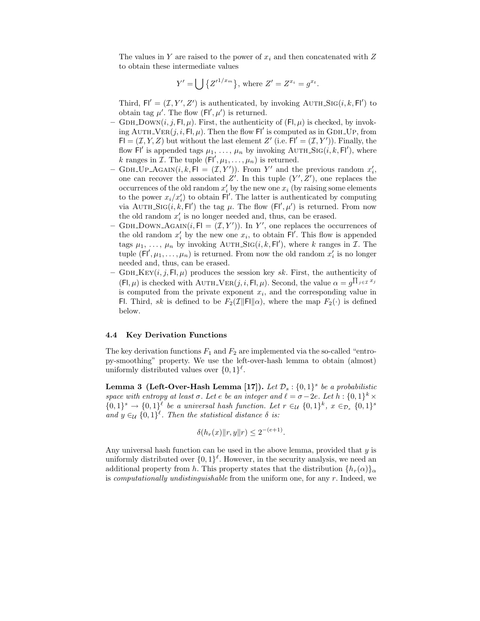The values in Y are raised to the power of  $x_i$  and then concatenated with Z to obtain these intermediate values

$$
Y' = \bigcup \left\{ Z'^{1/x_m} \right\}, \text{ where } Z' = Z^{x_i} = g^{x_i}.
$$

Third,  $\mathsf{Fl}' = (\mathcal{I}, Y', Z')$  is authenticated, by invoking AUTH  $\text{SIG}(i, k, \mathsf{Fl}')$  to obtain tag  $\mu'$ . The flow  $(FI', \mu')$  is returned.

- GDH\_DOWN $(i, j, Fl, \mu)$ . First, the authenticity of  $(Fl, \mu)$  is checked, by invoking AUTH\_VER $(j, i, \overline{\mathsf{F}}\mathsf{I}, \mu)$ . Then the flow  $\overline{\mathsf{F}}\mathsf{I}'$  is computed as in GDH\_Up, from  $\mathsf{FI} = (\mathcal{I}, Y, Z)$  but without the last element Z' (i.e.  $\mathsf{FI}' = (\mathcal{I}, Y')$ ). Finally, the flow  $\mathsf{FI}'$  is appended tags  $\mu_1, \ldots, \mu_n$  by invoking AUTH  $\text{Sig}(i, k, \mathsf{FI}')$ , where k ranges in *I*. The tuple  $(F_1', \mu_1, \ldots, \mu_n)$  is returned.
- GDH\_UP\_AGAIN $(i, k, \mathsf{Fl} = (\mathcal{I}, Y'))$ . From Y' and the previous random  $x'_i$ , one can recover the associated  $Z'$ . In this tuple  $(Y', Z')$ , one replaces the occurrences of the old random  $x_i'$  by the new one  $x_i$  (by raising some elements to the power  $x_i/x_i'$  to obtain  $\overline{\mathsf{FI}}'$ . The latter is authenticated by computing via AUTH\_SIG $(i, k, \mathsf{F} |')$  the tag  $\mu$ . The flow  $(\mathsf{F} |', \mu')$  is returned. From now the old random  $x_i'$  is no longer needed and, thus, can be erased.
- GDH\_DOWN\_AGAIN $(i, \mathsf{Fl} = (\mathcal{I}, Y'))$ . In Y', one replaces the occurrences of the old random  $x_i'$  by the new one  $x_i$ , to obtain  $\mathsf{Fl}'$ . This flow is appended tags  $\mu_1, \ldots, \mu_n$  by invoking AUTH\_SIG $(i, k, \textsf{F} |')$ , where k ranges in  $\mathcal{I}$ . The tuple  $(Fl', \mu_1, \ldots, \mu_n)$  is returned. From now the old random  $x'_i$  is no longer needed and, thus, can be erased.
- GDH KEY $(i, j, Fl, \mu)$  produces the session key sk. First, the authenticity of  $(F|,\mu)$  is checked with AUTH\_VER $(j,i,F|,\mu)$ . Second, the value  $\alpha = g^{\prod_{j\in\mathcal{I}}x_j}$ is computed from the private exponent  $x_i$ , and the corresponding value in Fl. Third, sk is defined to be  $F_2(\mathcal{I}||\mathsf{FI}||\alpha)$ , where the map  $F_2(\cdot)$  is defined below.

#### 4.4 Key Derivation Functions

The key derivation functions  $F_1$  and  $F_2$  are implemented via the so-called "entropy-smoothing" property. We use the left-over-hash lemma to obtain (almost) uniformly distributed values over  $\{0,1\}^{\ell}$ .

Lemma 3 (Left-Over-Hash Lemma [17]). Let  $\mathcal{D}_s$  :  $\{0,1\}^s$  be a probabilistic space with entropy at least  $\sigma$ . Let  $e$  be an integer and  $\ell = \sigma - 2e$ . Let  $h : \{0, 1\}^k \times$  $\{0,1\}^s \to \{0,1\}^{\ell}$  be a universal hash function. Let  $r \in \mathcal{U}$   $\{0,1\}^k$ ,  $x \in \mathcal{D}_s$   $\{0,1\}^s$ and  $y \in_{\mathcal{U}} \{0,1\}^{\ell}$ . Then the statistical distance  $\delta$  is:

$$
\delta(h_r(x)\|r, y\|r) \le 2^{-(e+1)}.
$$

Any universal hash function can be used in the above lemma, provided that  $y$  is uniformly distributed over  $\{0,1\}^{\ell}$ . However, in the security analysis, we need an additional property from h. This property states that the distribution  $\{h_r(\alpha)\}\alpha$ is *computationally undistinguishable* from the uniform one, for any  $r$ . Indeed, we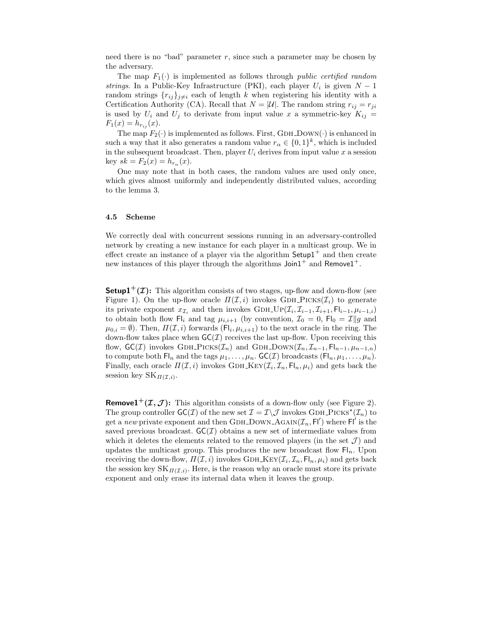need there is no "bad" parameter r, since such a parameter may be chosen by the adversary.

The map  $F_1(\cdot)$  is implemented as follows through *public certified random* strings. In a Public-Key Infrastructure (PKI), each player  $U_i$  is given  $N-1$ random strings  $\{r_{ij}\}_{j\neq i}$  each of length k when registering his identity with a Certification Authority (CA). Recall that  $N = |\mathcal{U}|$ . The random string  $r_{ij} = r_{ji}$ is used by  $U_i$  and  $U_j$  to derivate from input value x a symmetric-key  $K_{ij} =$  $F_1(x) = h_{r_{ij}}(x)$ .

The map  $F_2(\cdot)$  is implemented as follows. First, GDH DOWN( $\cdot$ ) is enhanced in such a way that it also generates a random value  $r_{\alpha} \in \{0,1\}^k$ , which is included in the subsequent broadcast. Then, player  $U_i$  derives from input value x a session key  $sk = F_2(x) = h_{r_\alpha}(x)$ .

One may note that in both cases, the random values are used only once, which gives almost uniformly and independently distributed values, according to the lemma 3.

#### 4.5 Scheme

We correctly deal with concurrent sessions running in an adversary-controlled network by creating a new instance for each player in a multicast group. We in effect create an instance of a player via the algorithm  $\mathsf{Setup1}^+$  and then create new instances of this player through the algorithms  $Join1^{+}$  and Remove1<sup>+</sup>.

**Setup1<sup>+</sup>(***I***):** This algorithm consists of two stages, up-flow and down-flow (see Figure 1). On the up-flow oracle  $\Pi(\mathcal{I},i)$  invokes GDH\_PICKS( $\mathcal{I}_i$ ) to generate its private exponent  $x_{\mathcal{I}_i}$  and then invokes GDH\_UP $(\mathcal{I}_i, \mathcal{I}_{i-1}, \mathcal{I}_{i+1}, \mathsf{FI}_{i-1}, \mu_{i-1,i})$ to obtain both flow Fl<sub>i</sub> and tag  $\mu_{i,i+1}$  (by convention,  $\mathcal{I}_0 = 0$ , Fl<sub>0</sub> =  $\mathcal{I}||g$  and  $\mu_{0,i} = \emptyset$ ). Then,  $\Pi(\mathcal{I}, i)$  forwards  $(\mathsf{Fl}_i, \mu_{i,i+1})$  to the next oracle in the ring. The down-flow takes place when  $GC(\mathcal{I})$  receives the last up-flow. Upon receiving this flow,  $\mathsf{GC}(\mathcal{I})$  invokes GDH PICKS( $\mathcal{I}_n$ ) and GDH DOWN( $\mathcal{I}_n, \mathcal{I}_{n-1}, \mathsf{Fl}_{n-1}, \mu_{n-1,n}$ ) to compute both  $\mathsf{Fl}_n$  and the tags  $\mu_1, \ldots, \mu_n$ .  $\mathsf{GC}(\mathcal{I})$  broadcasts  $(\mathsf{Fl}_n, \mu_1, \ldots, \mu_n)$ . Finally, each oracle  $\Pi(\mathcal{I}, i)$  invokes GDH\_KEY $(\mathcal{I}_i, \mathcal{I}_n, \mathsf{Fl}_n, \mu_i)$  and gets back the session key  $SK_{\Pi(\mathcal{I},i)}$ .

**Remove1**<sup>+</sup> $(\mathcal{I}, \mathcal{J})$ : This algorithm consists of a down-flow only (see Figure 2). The group controller  $GC(\mathcal{I})$  of the new set  $\mathcal{I} = \mathcal{I}\setminus\mathcal{J}$  invokes  $GDH\_{PICKs}^{\star}(\mathcal{I}_n)$  to get a *new* private exponent and then GDH\_DOWN\_AGAIN( $\mathcal{I}_n$ , FI<sup>'</sup>) where FI<sup>'</sup> is the saved previous broadcast.  $GC(\mathcal{I})$  obtains a new set of intermediate values from which it deletes the elements related to the removed players (in the set  $\mathcal{J}$ ) and updates the multicast group. This produces the new broadcast flow  $\mathsf{Fl}_n$ . Upon receiving the down-flow,  $\Pi(\mathcal{I}, i)$  invokes GDH\_KEY $(\mathcal{I}_i, \mathcal{I}_n, \mathsf{Fl}_n, \mu_i)$  and gets back the session key  $SK_{\Pi(\mathcal{I},i)}$ . Here, is the reason why an oracle must store its private exponent and only erase its internal data when it leaves the group.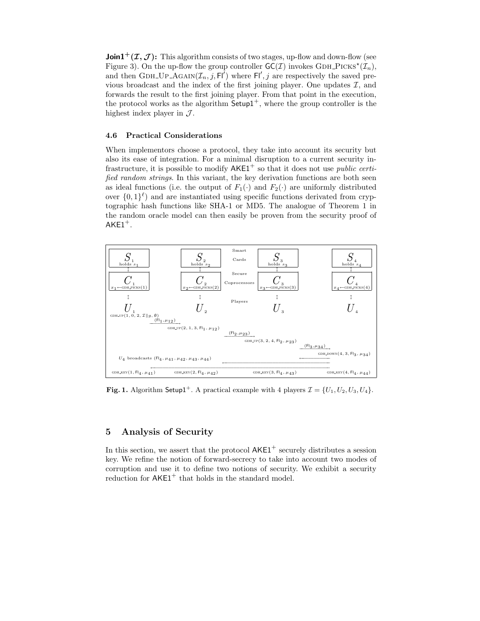**Join1**<sup>+</sup> $(\mathcal{I}, \mathcal{J})$ : This algorithm consists of two stages, up-flow and down-flow (see Figure 3). On the up-flow the group controller  $\mathsf{GC}(\mathcal{I})$  invokes  $\text{GDH\_PCKS}^{\star}(\mathcal{I}_n)$ , and then GDH\_UP\_AGAIN( $\mathcal{I}_n, j$ ,  $\mathsf{FI}'$ ) where  $\mathsf{FI}', j$  are respectively the saved previous broadcast and the index of the first joining player. One updates  $I$ , and forwards the result to the first joining player. From that point in the execution, the protocol works as the algorithm  $\mathsf{Setup1}^+$ , where the group controller is the highest index player in  $\mathcal{J}$ .

#### 4.6 Practical Considerations

When implementors choose a protocol, they take into account its security but also its ease of integration. For a minimal disruption to a current security infrastructure, it is possible to modify  $AKE1^+$  so that it does not use *public certi*fied random strings. In this variant, the key derivation functions are both seen as ideal functions (i.e. the output of  $F_1(\cdot)$  and  $F_2(\cdot)$  are uniformly distributed over  $\{0,1\}^{\ell}$  and are instantiated using specific functions derivated from cryptographic hash functions like SHA-1 or MD5. The analogue of Theorem 1 in the random oracle model can then easily be proven from the security proof of  $AKE1<sup>+</sup>$ .



**Fig. 1.** Algorithm Setup1<sup>+</sup>. A practical example with 4 players  $\mathcal{I} = \{U_1, U_2, U_3, U_4\}$ .

# 5 Analysis of Security

In this section, we assert that the protocol  $AKE1<sup>+</sup>$  securely distributes a session key. We refine the notion of forward-secrecy to take into account two modes of corruption and use it to define two notions of security. We exhibit a security reduction for  $AKE1$ <sup>+</sup> that holds in the standard model.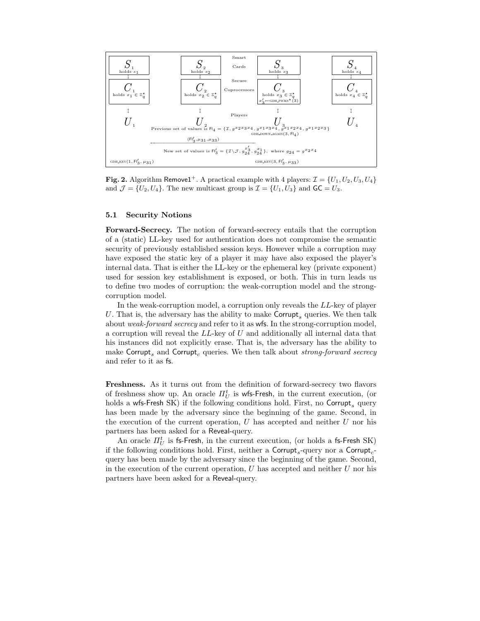

**Fig. 2.** Algorithm Remove1<sup>+</sup>. A practical example with 4 players:  $\mathcal{I} = \{U_1, U_2, U_3, U_4\}$ and  $\mathcal{J} = \{U_2, U_4\}$ . The new multicast group is  $\mathcal{I} = \{U_1, U_3\}$  and  $\mathsf{GC} = U_3$ .

#### 5.1 Security Notions

Forward-Secrecy. The notion of forward-secrecy entails that the corruption of a (static) LL-key used for authentication does not compromise the semantic security of previously established session keys. However while a corruption may have exposed the static key of a player it may have also exposed the player's internal data. That is either the LL-key or the ephemeral key (private exponent) used for session key establishment is exposed, or both. This in turn leads us to define two modes of corruption: the weak-corruption model and the strongcorruption model.

In the weak-corruption model, a corruption only reveals the LL-key of player U. That is, the adversary has the ability to make  $\text{Corrupt}_s$  queries. We then talk about weak-forward secrecy and refer to it as wfs. In the strong-corruption model, a corruption will reveal the LL-key of U and additionally all internal data that his instances did not explicitly erase. That is, the adversary has the ability to make Corrupt, and Corrupt, queries. We then talk about *strong-forward secrecy* and refer to it as fs.

Freshness. As it turns out from the definition of forward-secrecy two flavors of freshness show up. An oracle  $\Pi_U^t$  is wfs-Fresh, in the current execution, (or holds a wfs-Fresh SK) if the following conditions hold. First, no Corrupt, query has been made by the adversary since the beginning of the game. Second, in the execution of the current operation,  $U$  has accepted and neither  $U$  nor his partners has been asked for a Reveal-query.

An oracle  $\Pi_U^t$  is fs-Fresh, in the current execution, (or holds a fs-Fresh SK) if the following conditions hold. First, neither a  $\text{Corrupt}_s\text{-query}$  nor a  $\text{Corrupt}_c\text{-}$ query has been made by the adversary since the beginning of the game. Second, in the execution of the current operation,  $U$  has accepted and neither  $U$  nor his partners have been asked for a Reveal-query.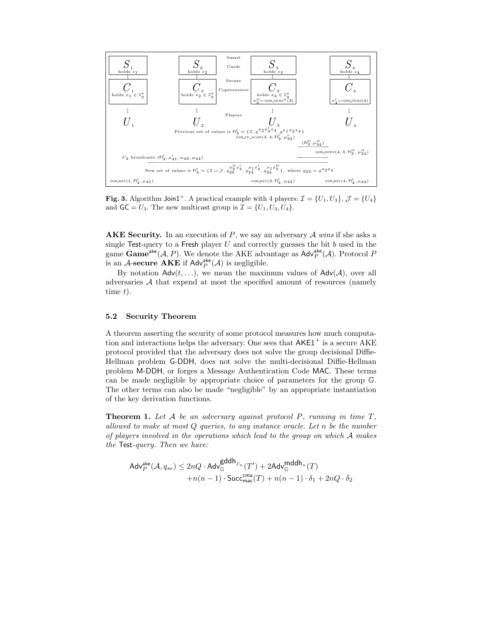

Fig. 3. Algorithm Join1<sup>+</sup>. A practical example with 4 players:  $\mathcal{I} = \{U_1, U_3\}$ ,  $\mathcal{J} = \{U_4\}$ and  $\mathsf{GC} = U_3$ . The new multicast group is  $\mathcal{I} = \{U_1, U_3, U_4\}.$ 

AKE Security. In an execution of  $P$ , we say an adversary  $A$  wins if she asks a single Test-query to a Fresh player  $U$  and correctly guesses the bit  $b$  used in the game  $\text{Game}^{\text{ake}}(\mathcal{A}, P)$ . We denote the AKE advantage as  $\text{Adv}^{\text{ake}}_P(\mathcal{A})$ . Protocol P is an A-secure  $\overrightarrow{\textbf{AKE}}$  if  $\textsf{Adv}_{P}^{\text{ake}}(\mathcal{A})$  is negligible.

By notation  $\mathsf{Adv}(t, \ldots)$ , we mean the maximum values of  $\mathsf{Adv}(\mathcal{A})$ , over all adversaries A that expend at most the specified amount of resources (namely time  $t$ ).

#### 5.2 Security Theorem

A theorem asserting the security of some protocol measures how much computation and interactions helps the adversary. One sees that  $AKE1<sup>+</sup>$  is a secure  $AKE$ protocol provided that the adversary does not solve the group decisional Diffie-Hellman problem G-DDH, does not solve the multi-decisional Diffie-Hellman problem M-DDH, or forges a Message Authentication Code MAC. These terms can be made negligible by appropriate choice of parameters for the group G. The other terms can also be made "negligible" by an appropriate instantiation of the key derivation functions.

**Theorem 1.** Let  $A$  be an adversary against protocol  $P$ , running in time  $T$ , allowed to make at most Q queries, to any instance oracle. Let n be the number of players involved in the operations which lead to the group on which A makes the Test-query. Then we have:

$$
\begin{aligned} \mathsf{Adv}^{\mathsf{ake}}_P(\mathcal{A}, q_{se}) \leq 2nQ \cdot \mathsf{Adv}_{\mathbb{G}}^{\mathsf{gddh}_{_{r_n}}}(T') + 2\mathsf{Adv}_{\mathbb{G}}^{\mathsf{mddh}_{n}}(T) \\ + n(n-1) \cdot \mathsf{Succ}^{\mathsf{cma}}_{\mathsf{mac}}(T) + n(n-1) \cdot \delta_1 + 2nQ \cdot \delta_2 \end{aligned}
$$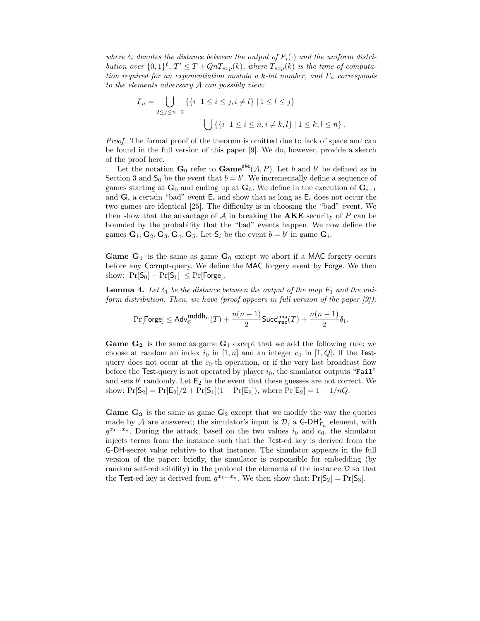where  $\delta_i$  denotes the distance between the output of  $F_i(\cdot)$  and the uniform distribution over  $\{0,1\}^{\ell}$ ,  $T' \leq T + QnT_{exp}(k)$ , where  $T_{exp}(k)$  is the time of computation required for an exponentiation modulo a k-bit number, and  $\Gamma_n$  corresponds to the elements adversary A can possibly view:

$$
\Gamma_n = \bigcup_{2 \le j \le n-2} \{ \{i \mid 1 \le i \le j, i \ne l\} \mid 1 \le l \le j \}
$$
  

$$
\bigcup \{ \{i \mid 1 \le i \le n, i \ne k, l\} \mid 1 \le k, l \le n \}.
$$

Proof. The formal proof of the theorem is omitted due to lack of space and can be found in the full version of this paper [9]. We do, however, provide a sketch of the proof here.

Let the notation  $\mathbf{G}_0$  refer to  $\mathbf{Game}^{\text{ake}}(\mathcal{A}, P)$ . Let b and b' be defined as in Section 3 and  $S_0$  be the event that  $b = b'$ . We incrementally define a sequence of games starting at  $\mathbf{G}_0$  and ending up at  $\mathbf{G}_5$ . We define in the execution of  $\mathbf{G}_{i-1}$ and  $G_i$  a certain "bad" event  $E_i$  and show that as long as  $E_i$  does not occur the two games are identical [25]. The difficulty is in choosing the "bad" event. We then show that the advantage of  $A$  in breaking the  $AKE$  security of  $P$  can be bounded by the probability that the "bad" events happen. We now define the games  $\mathbf{G}_1, \mathbf{G}_2, \mathbf{G}_3, \mathbf{G}_4, \mathbf{G}_5$ . Let  $\mathsf{S}_i$  be the event  $b = b'$  in game  $\mathbf{G}_i$ .

**Game G<sub>1</sub>** is the same as game  $G_0$  except we abort if a MAC forgery occurs before any Corrupt-query. We define the MAC forgery event by Forge. We then show:  $|\Pr[\mathsf{S}_0] - \Pr[\mathsf{S}_1]| \leq \Pr[\mathsf{Forge}].$ 

**Lemma 4.** Let  $\delta_1$  be the distance between the output of the map  $F_1$  and the uniform distribution. Then, we have (proof appears in full version of the paper  $(9)$ ):

$$
\Pr[\mathsf{Forge}] \leq \mathsf{Adv}_{\mathbb{G}}^{\mathsf{mddh}_n}(T) + \frac{n(n-1)}{2}\mathsf{Succ}_{\mathsf{mac}}^{\mathsf{cma}}(T) + \frac{n(n-1)}{2}\delta_1.
$$

**Game G<sub>2</sub>** is the same as game  $G_1$  except that we add the following rule: we choose at random an index  $i_0$  in [1, n] and an integer  $c_0$  in [1, Q]. If the Testquery does not occur at the  $c_0$ -th operation, or if the very last broadcast flow before the Test-query is not operated by player  $i_0$ , the simulator outputs "Fail" and sets  $b'$  randomly. Let  $E_2$  be the event that these guesses are not correct. We show:  $Pr[S_2] = Pr[E_2]/2 + Pr[S_1](1 - Pr[E_2])$ , where  $Pr[E_2] = 1 - 1/nQ$ .

Game  $G_3$  is the same as game  $G_2$  except that we modify the way the queries made by A are answered; the simulator's input is  $\mathcal{D}$ , a G-DH<sub> $\Gamma_n$ </sub> element, with  $g^{x_1...x_n}$ . During the attack, based on the two values  $i_0$  and  $c_0$ , the simulator injects terms from the instance such that the Test-ed key is derived from the G-DH-secret value relative to that instance. The simulator appears in the full version of the paper: briefly, the simulator is responsible for embedding (by random self-reducibility) in the protocol the elements of the instance  $\mathcal D$  so that the Test-ed key is derived from  $g^{x_1...x_n}$ . We then show that:  $Pr[S_2] = Pr[S_3]$ .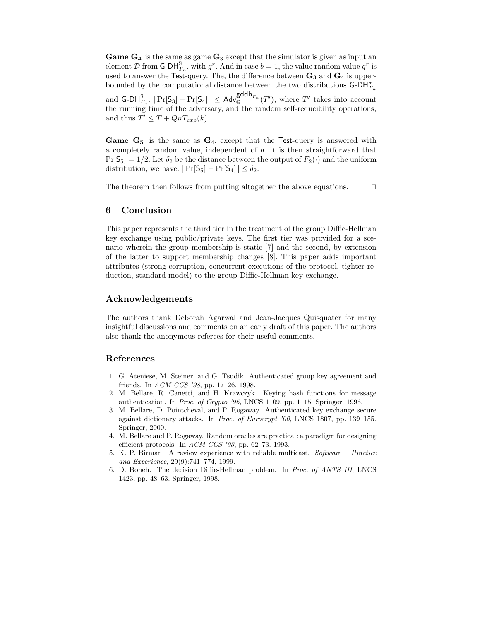Game  $G_4$  is the same as game  $G_3$  except that the simulator is given as input an element  $\mathcal D$  from G-DH $_{\Gamma_n}^{\$}$ , with  $g^r$ . And in case  $b=1$ , the value random value  $g^r$  is used to answer the Test-query. The, the difference between  $\mathbf{G}_3$  and  $\mathbf{G}_4$  is upperbounded by the computational distance between the two distributions  $\mathsf{G}\text{-}\mathsf{DH}_{\varGamma_n}^\star$ 

and G-D $H_{\Gamma_n}^{\$}: |\Pr[S_3] - \Pr[S_4]| \leq \mathsf{Adv}_{\mathbb{G}}^{\mathsf{gddh}_{\Gamma_n}}(T'),$  where  $T'$  takes into account the running time of the adversary, and the random self-reducibility operations, and thus  $T' \leq T + QnT_{exp}(k)$ .

**Game G<sub>5</sub>** is the same as  $G_4$ , except that the Test-query is answered with a completely random value, independent of b. It is then straightforward that  $Pr[S_5] = 1/2$ . Let  $\delta_2$  be the distance between the output of  $F_2(\cdot)$  and the uniform distribution, we have:  $|\Pr[\mathsf{S}_5] - \Pr[\mathsf{S}_4]| \leq \delta_2$ .

The theorem then follows from putting altogether the above equations.  $\Box$ 

### 6 Conclusion

This paper represents the third tier in the treatment of the group Diffie-Hellman key exchange using public/private keys. The first tier was provided for a scenario wherein the group membership is static [7] and the second, by extension of the latter to support membership changes [8]. This paper adds important attributes (strong-corruption, concurrent executions of the protocol, tighter reduction, standard model) to the group Diffie-Hellman key exchange.

### Acknowledgements

The authors thank Deborah Agarwal and Jean-Jacques Quisquater for many insightful discussions and comments on an early draft of this paper. The authors also thank the anonymous referees for their useful comments.

### References

- 1. G. Ateniese, M. Steiner, and G. Tsudik. Authenticated group key agreement and friends. In ACM CCS '98, pp. 17–26. 1998.
- 2. M. Bellare, R. Canetti, and H. Krawczyk. Keying hash functions for message authentication. In Proc. of Crypto '96, LNCS 1109, pp. 1–15. Springer, 1996.
- 3. M. Bellare, D. Pointcheval, and P. Rogaway. Authenticated key exchange secure against dictionary attacks. In Proc. of Eurocrypt '00, LNCS 1807, pp. 139–155. Springer, 2000.
- 4. M. Bellare and P. Rogaway. Random oracles are practical: a paradigm for designing efficient protocols. In ACM CCS '93, pp. 62–73. 1993.
- 5. K. P. Birman. A review experience with reliable multicast. Software Practice and Experience, 29(9):741–774, 1999.
- 6. D. Boneh. The decision Diffie-Hellman problem. In Proc. of ANTS III, LNCS 1423, pp. 48–63. Springer, 1998.